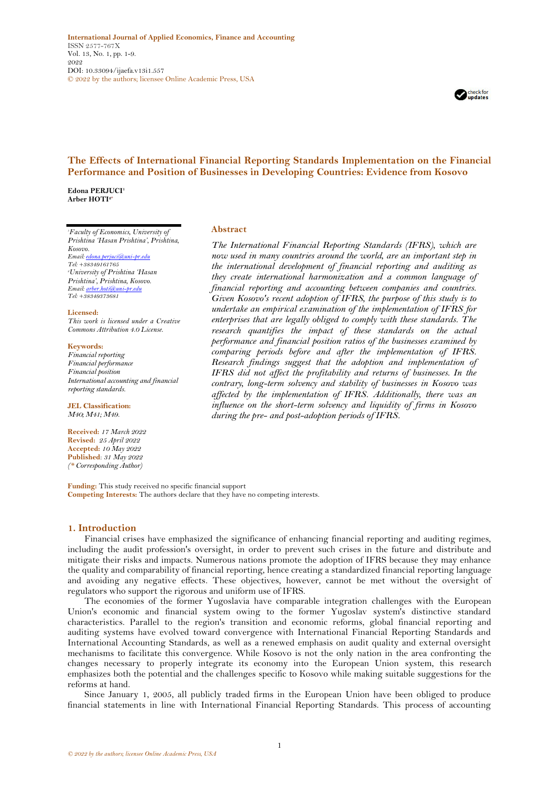

# **The Effects of International Financial Reporting Standards Implementation on the Financial Performance and Position of Businesses in Developing Countries: Evidence from Kosovo**

**Edona PERJUCI<sup>1</sup> Arber HOTI2\***

*<sup>1</sup>Faculty of Economics, University of Prishtina 'Hasan Prishtina', Prishtina, Kosovo. Email[: edona.perjuci@uni-pr.edu](mailto:edona.perjuci@uni-pr.edu) Tel: +38349161765 <sup>2</sup>University of Prishtina 'Hasan Prishtina', Prishtina, Kosovo.*

*Email[: arber.hoti@uni-pr.edu](mailto:arber.hoti@uni-pr.edu) Tel: +38349373681*

#### **Licensed:**

*This work is licensed under a Creative Commons Attribution 4.0 License.* 

#### **Keywords:**

*Financial reporting Financial performance Financial position International accounting and financial reporting standards.*

**JEL Classification:** *M40; M41; M49.*

**Received:** *17 March 2022* **Revised:** *25 April 2022* **Accepted:** *10 May 2022* **Published**: *31 May 2022 (\* Corresponding Author)*

# **Abstract**

*The International Financial Reporting Standards (IFRS), which are now used in many countries around the world, are an important step in the international development of financial reporting and auditing as they create international harmonization and a common language of financial reporting and accounting between companies and countries. Given Kosovo's recent adoption of IFRS, the purpose of this study is to undertake an empirical examination of the implementation of IFRS for enterprises that are legally obliged to comply with these standards. The research quantifies the impact of these standards on the actual performance and financial position ratios of the businesses examined by comparing periods before and after the implementation of IFRS. Research findings suggest that the adoption and implementation of IFRS did not affect the profitability and returns of businesses. In the contrary, long-term solvency and stability of businesses in Kosovo was affected by the implementation of IFRS. Additionally, there was an influence on the short-term solvency and liquidity of firms in Kosovo during the pre- and post-adoption periods of IFRS.*

**Funding:** This study received no specific financial support **Competing Interests:** The authors declare that they have no competing interests.

# **1. Introduction**

Financial crises have emphasized the significance of enhancing financial reporting and auditing regimes, including the audit profession's oversight, in order to prevent such crises in the future and distribute and mitigate their risks and impacts. Numerous nations promote the adoption of IFRS because they may enhance the quality and comparability of financial reporting, hence creating a standardized financial reporting language and avoiding any negative effects. These objectives, however, cannot be met without the oversight of regulators who support the rigorous and uniform use of IFRS.

The economies of the former Yugoslavia have comparable integration challenges with the European Union's economic and financial system owing to the former Yugoslav system's distinctive standard characteristics. Parallel to the region's transition and economic reforms, global financial reporting and auditing systems have evolved toward convergence with International Financial Reporting Standards and International Accounting Standards, as well as a renewed emphasis on audit quality and external oversight mechanisms to facilitate this convergence. While Kosovo is not the only nation in the area confronting the changes necessary to properly integrate its economy into the European Union system, this research emphasizes both the potential and the challenges specific to Kosovo while making suitable suggestions for the reforms at hand.

Since January 1, 2005, all publicly traded firms in the European Union have been obliged to produce financial statements in line with International Financial Reporting Standards. This process of accounting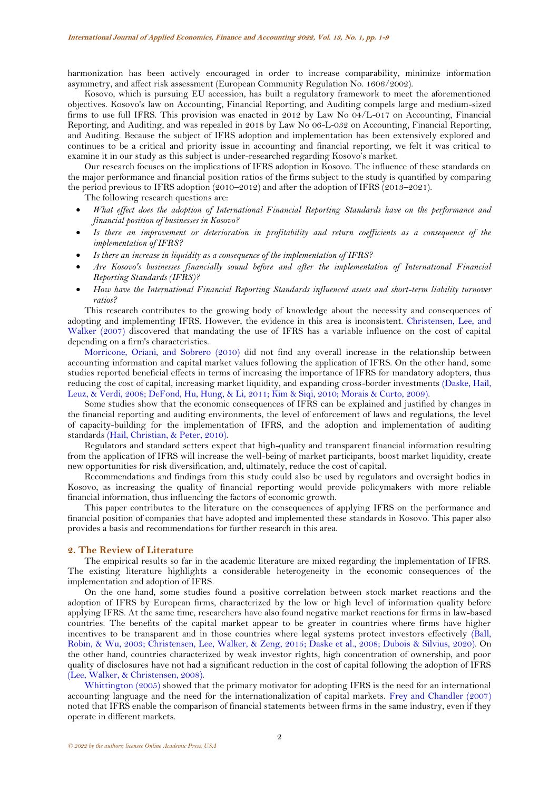harmonization has been actively encouraged in order to increase comparability, minimize information asymmetry, and affect risk assessment (European Community Regulation No. 1606/2002).

Kosovo, which is pursuing EU accession, has built a regulatory framework to meet the aforementioned objectives. Kosovo's law on Accounting, Financial Reporting, and Auditing compels large and medium-sized firms to use full IFRS. This provision was enacted in 2012 by Law No 04/L-017 on Accounting, Financial Reporting, and Auditing, and was repealed in 2018 by Law No 06-L-032 on Accounting, Financial Reporting, and Auditing. Because the subject of IFRS adoption and implementation has been extensively explored and continues to be a critical and priority issue in accounting and financial reporting, we felt it was critical to examine it in our study as this subject is under-researched regarding Kosovo's market.

Our research focuses on the implications of IFRS adoption in Kosovo. The influence of these standards on the major performance and financial position ratios of the firms subject to the study is quantified by comparing the period previous to IFRS adoption (2010–2012) and after the adoption of IFRS (2013–2021).

The following research questions are:

- *What effect does the adoption of International Financial Reporting Standards have on the performance and financial position of businesses in Kosovo?*
- *Is there an improvement or deterioration in profitability and return coefficients as a consequence of the implementation of IFRS?*
- *Is there an increase in liquidity as a consequence of the implementation of IFRS?*
- *Are Kosovo's businesses financially sound before and after the implementation of International Financial Reporting Standards (IFRS)?*
- *How have the International Financial Reporting Standards influenced assets and short-term liability turnover ratios?*

This research contributes to the growing body of knowledge about the necessity and consequences of adopting and implementing IFRS. However, the evidence in this area is inconsistent. [Christensen,](#page-7-0) Lee, and [Walker \(2007\)](#page-7-0) discovered that mandating the use of IFRS has a variable influence on the cost of capital depending on a firm's characteristics.

[Morricone, Oriani, and Sobrero \(2010\)](#page-8-0) did not find any overall increase in the relationship between accounting information and capital market values following the application of IFRS. On the other hand, some studies reported beneficial effects in terms of increasing the importance of IFRS for mandatory adopters, thus reducing the cost of capital, increasing market liquidity, and expanding cross-border investments [\(Daske, Hail,](#page-7-1)  [Leuz, & Verdi, 2008;](#page-7-1) [DeFond, Hu, Hung, & Li, 2011;](#page-7-2) [Kim & Siqi, 2010;](#page-8-1) [Morais & Curto, 2009\)](#page-8-2).

Some studies show that the economic consequences of IFRS can be explained and justified by changes in the financial reporting and auditing environments, the level of enforcement of laws and regulations, the level of capacity-building for the implementation of IFRS, and the adoption and implementation of auditing standards [\(Hail, Christian, &](#page-7-3) Peter, 2010).

Regulators and standard setters expect that high-quality and transparent financial information resulting from the application of IFRS will increase the well-being of market participants, boost market liquidity, create new opportunities for risk diversification, and, ultimately, reduce the cost of capital.

Recommendations and findings from this study could also be used by regulators and oversight bodies in Kosovo, as increasing the quality of financial reporting would provide policymakers with more reliable financial information, thus influencing the factors of economic growth.

This paper contributes to the literature on the consequences of applying IFRS on the performance and financial position of companies that have adopted and implemented these standards in Kosovo. This paper also provides a basis and recommendations for further research in this area.

### **2. The Review of Literature**

The empirical results so far in the academic literature are mixed regarding the implementation of IFRS. The existing literature highlights a considerable heterogeneity in the economic consequences of the implementation and adoption of IFRS.

On the one hand, some studies found a positive correlation between stock market reactions and the adoption of IFRS by European firms, characterized by the low or high level of information quality before applying IFRS. At the same time, researchers have also found negative market reactions for firms in law-based countries. The benefits of the capital market appear to be greater in countries where firms have higher incentives to be transparent and in those countries where legal systems protect investors effectively [\(Ball,](#page-7-4)  [Robin, & Wu, 2003;](#page-7-4) [Christensen, Lee, Walker, & Zeng, 2015;](#page-7-5) [Daske et al., 2008;](#page-7-1) [Dubois & Silvius, 2020\)](#page-7-6). On the other hand, countries characterized by weak investor rights, high concentration of ownership, and poor quality of disclosures have not had a significant reduction in the cost of capital following the adoption of IFRS [\(Lee, Walker, & Christensen, 2008\)](#page-8-3).

[Whittington \(2005\)](#page-8-4) showed that the primary motivator for adopting IFRS is the need for an international accounting language and the need for the internationalization of capital markets. [Frey and Chandler \(2007\)](#page-7-7) noted that IFRS enable the comparison of financial statements between firms in the same industry, even if they operate in different markets.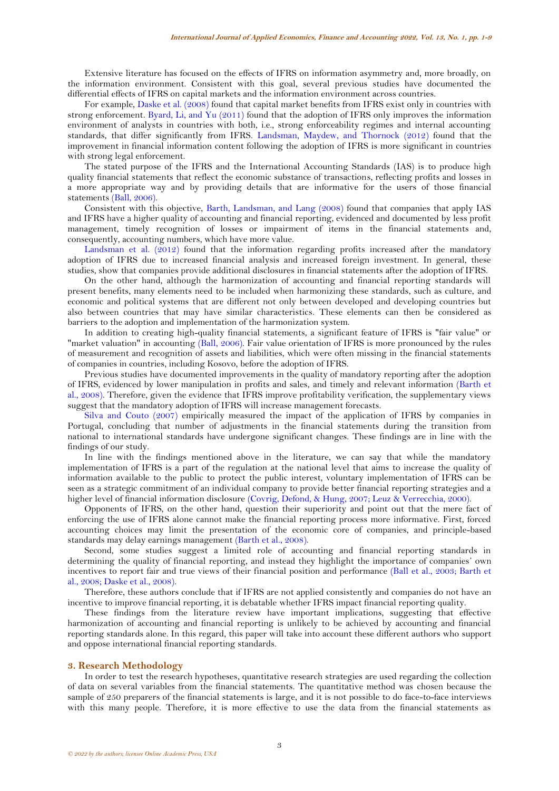Extensive literature has focused on the effects of IFRS on information asymmetry and, more broadly, on the information environment. Consistent with this goal, several previous studies have documented the differential effects of IFRS on capital markets and the information environment across countries.

For example, [Daske et al. \(2008\)](#page-7-1) found that capital market benefits from IFRS exist only in countries with strong enforcement. [Byard, Li, and Yu \(2011\)](#page-7-8) found that the adoption of IFRS only improves the information environment of analysts in countries with both, i.e., strong enforceability regimes and internal accounting standards, that differ significantly from IFRS. [Landsman, Maydew, and Thornock \(2012\)](#page-8-5) found that the improvement in financial information content following the adoption of IFRS is more significant in countries with strong legal enforcement.

The stated purpose of the IFRS and the International Accounting Standards (IAS) is to produce high quality financial statements that reflect the economic substance of transactions, reflecting profits and losses in a more appropriate way and by providing details that are informative for the users of those financial statements [\(Ball, 2006\)](#page-7-9).

Consistent with this objective, [Barth, Landsman, and Lang \(2008\)](#page-7-10) found that companies that apply IAS and IFRS have a higher quality of accounting and financial reporting, evidenced and documented by less profit management, timely recognition of losses or impairment of items in the financial statements and, consequently, accounting numbers, which have more value.

[Landsman et al. \(2012\)](#page-8-5) found that the information regarding profits increased after the mandatory adoption of IFRS due to increased financial analysis and increased foreign investment. In general, these studies, show that companies provide additional disclosures in financial statements after the adoption of IFRS.

On the other hand, although the harmonization of accounting and financial reporting standards will present benefits, many elements need to be included when harmonizing these standards, such as culture, and economic and political systems that are different not only between developed and developing countries but also between countries that may have similar characteristics. These elements can then be considered as barriers to the adoption and implementation of the harmonization system.

In addition to creating high-quality financial statements, a significant feature of IFRS is "fair value" or "market valuation" in accounting [\(Ball, 2006\)](#page-7-9). Fair value orientation of IFRS is more pronounced by the rules of measurement and recognition of assets and liabilities, which were often missing in the financial statements of companies in countries, including Kosovo, before the adoption of IFRS.

Previous studies have documented improvements in the quality of mandatory reporting after the adoption of IFRS, evidenced by lower manipulation in profits and sales, and timely and relevant information [\(Barth et](#page-7-10)  [al., 2008\)](#page-7-10). Therefore, given the evidence that IFRS improve profitability verification, the supplementary views suggest that the mandatory adoption of IFRS will increase management forecasts.

[Silva and Couto \(2007\)](#page-8-6) empirically measured the impact of the application of IFRS by companies in Portugal, concluding that number of adjustments in the financial statements during the transition from national to international standards have undergone significant changes. These findings are in line with the findings of our study.

In line with the findings mentioned above in the literature, we can say that while the mandatory implementation of IFRS is a part of the regulation at the national level that aims to increase the quality of information available to the public to protect the public interest, voluntary implementation of IFRS can be seen as a strategic commitment of an individual company to provide better financial reporting strategies and a higher level of financial information disclosure [\(Covrig, Defond, & Hung, 2007;](#page-7-11) [Leuz & Verrecchia, 2000\)](#page-8-7).

Opponents of IFRS, on the other hand, question their superiority and point out that the mere fact of enforcing the use of IFRS alone cannot make the financial reporting process more informative. First, forced accounting choices may limit the presentation of the economic core of companies, and principle-based standards may delay earnings management [\(Barth et al., 2008\)](#page-7-10).

Second, some studies suggest a limited role of accounting and financial reporting standards in determining the quality of financial reporting, and instead they highlight the importance of companies' own incentives to report fair and true views of their financial position and performance [\(Ball et al., 2003;](#page-7-4) [Barth et](#page-7-10)  [al., 2008;](#page-7-10) [Daske et al., 2008\)](#page-7-1).

Therefore, these authors conclude that if IFRS are not applied consistently and companies do not have an incentive to improve financial reporting, it is debatable whether IFRS impact financial reporting quality.

These findings from the literature review have important implications, suggesting that effective harmonization of accounting and financial reporting is unlikely to be achieved by accounting and financial reporting standards alone. In this regard, this paper will take into account these different authors who support and oppose international financial reporting standards.

## **3. Research Methodology**

In order to test the research hypotheses, quantitative research strategies are used regarding the collection of data on several variables from the financial statements. The quantitative method was chosen because the sample of 250 preparers of the financial statements is large, and it is not possible to do face-to-face interviews with this many people. Therefore, it is more effective to use the data from the financial statements as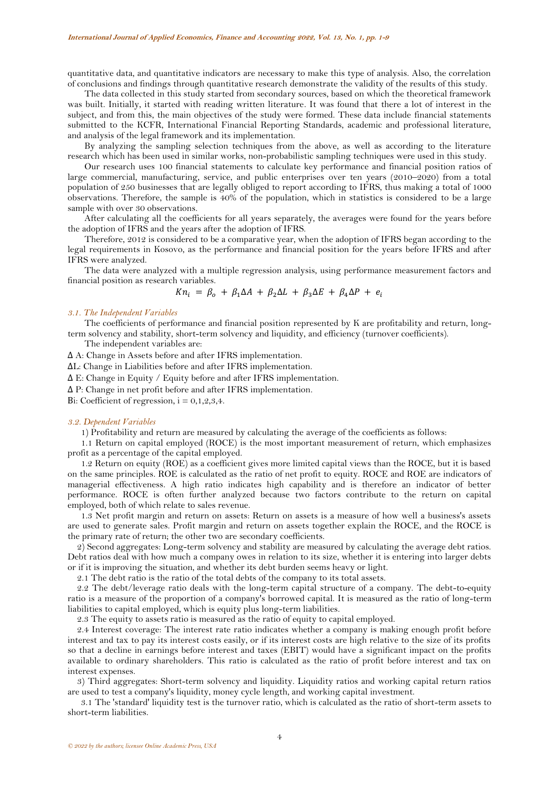quantitative data, and quantitative indicators are necessary to make this type of analysis. Also, the correlation of conclusions and findings through quantitative research demonstrate the validity of the results of this study.

The data collected in this study started from secondary sources, based on which the theoretical framework was built. Initially, it started with reading written literature. It was found that there a lot of interest in the subject, and from this, the main objectives of the study were formed. These data include financial statements submitted to the KCFR, International Financial Reporting Standards, academic and professional literature, and analysis of the legal framework and its implementation.

By analyzing the sampling selection techniques from the above, as well as according to the literature research which has been used in similar works, non-probabilistic sampling techniques were used in this study.

Our research uses 100 financial statements to calculate key performance and financial position ratios of large commercial, manufacturing, service, and public enterprises over ten years (2010–2020) from a total population of 250 businesses that are legally obliged to report according to IFRS, thus making a total of 1000 observations. Therefore, the sample is 40% of the population, which in statistics is considered to be a large sample with over 30 observations.

After calculating all the coefficients for all years separately, the averages were found for the years before the adoption of IFRS and the years after the adoption of IFRS.

Therefore, 2012 is considered to be a comparative year, when the adoption of IFRS began according to the legal requirements in Kosovo, as the performance and financial position for the years before IFRS and after IFRS were analyzed.

The data were analyzed with a multiple regression analysis, using performance measurement factors and financial position as research variables.

$$
Kn_i = \beta_o + \beta_1 \Delta A + \beta_2 \Delta L + \beta_3 \Delta E + \beta_4 \Delta P + e_i
$$

## *3.1. The Independent Variables*

The coefficients of performance and financial position represented by K are profitability and return, longterm solvency and stability, short-term solvency and liquidity, and efficiency (turnover coefficients).

The independent variables are:

Δ A: Change in Assets before and after IFRS implementation.

ΔL: Change in Liabilities before and after IFRS implementation.

Δ E: Change in Equity / Equity before and after IFRS implementation.

Δ P: Change in net profit before and after IFRS implementation.

Bi: Coefficient of regression,  $i = 0, 1, 2, 3, 4$ .

#### *3.2. Dependent Variables*

1) Profitability and return are measured by calculating the average of the coefficients as follows:

1.1 Return on capital employed (ROCE) is the most important measurement of return, which emphasizes profit as a percentage of the capital employed.

1.2 Return on equity (ROE) as a coefficient gives more limited capital views than the ROCE, but it is based on the same principles. ROE is calculated as the ratio of net profit to equity. ROCE and ROE are indicators of managerial effectiveness. A high ratio indicates high capability and is therefore an indicator of better performance. ROCE is often further analyzed because two factors contribute to the return on capital employed, both of which relate to sales revenue.

1.3 Net profit margin and return on assets: Return on assets is a measure of how well a business's assets are used to generate sales. Profit margin and return on assets together explain the ROCE, and the ROCE is the primary rate of return; the other two are secondary coefficients.

2) Second aggregates: Long-term solvency and stability are measured by calculating the average debt ratios. Debt ratios deal with how much a company owes in relation to its size, whether it is entering into larger debts or if it is improving the situation, and whether its debt burden seems heavy or light.

2.1 The debt ratio is the ratio of the total debts of the company to its total assets.

2.2 The debt/leverage ratio deals with the long-term capital structure of a company. The debt-to-equity ratio is a measure of the proportion of a company's borrowed capital. It is measured as the ratio of long-term liabilities to capital employed, which is equity plus long-term liabilities.

2.3 The equity to assets ratio is measured as the ratio of equity to capital employed.

2.4 Interest coverage: The interest rate ratio indicates whether a company is making enough profit before interest and tax to pay its interest costs easily, or if its interest costs are high relative to the size of its profits so that a decline in earnings before interest and taxes (EBIT) would have a significant impact on the profits available to ordinary shareholders. This ratio is calculated as the ratio of profit before interest and tax on interest expenses.

3) Third aggregates: Short-term solvency and liquidity. Liquidity ratios and working capital return ratios are used to test a company's liquidity, money cycle length, and working capital investment.

3.1 The 'standard' liquidity test is the turnover ratio, which is calculated as the ratio of short-term assets to short-term liabilities.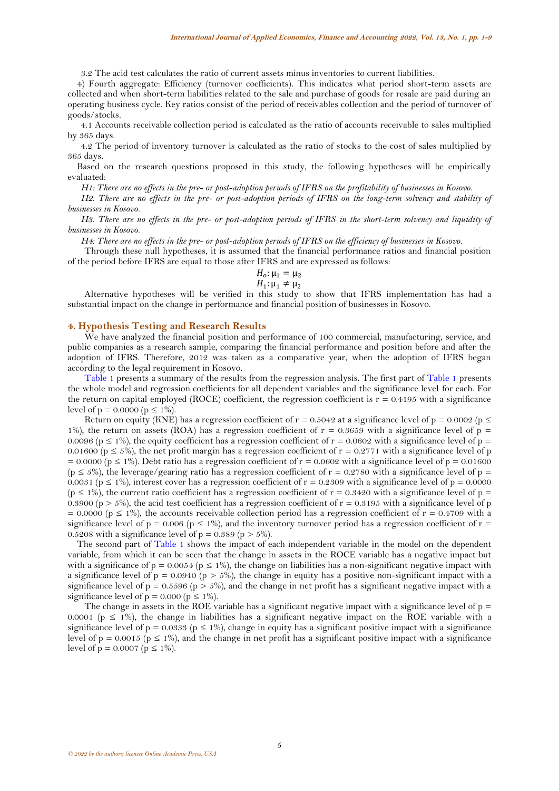3.2 The acid test calculates the ratio of current assets minus inventories to current liabilities.

4) Fourth aggregate: Efficiency (turnover coefficients). This indicates what period short-term assets are collected and when short-term liabilities related to the sale and purchase of goods for resale are paid during an operating business cycle. Key ratios consist of the period of receivables collection and the period of turnover of goods/stocks.

4.1 Accounts receivable collection period is calculated as the ratio of accounts receivable to sales multiplied by 365 days.

4.2 The period of inventory turnover is calculated as the ratio of stocks to the cost of sales multiplied by 365 days.

Based on the research questions proposed in this study, the following hypotheses will be empirically evaluated:

*H1: There are no effects in the pre- or post-adoption periods of IFRS on the profitability of businesses in Kosovo.*

*H2: There are no effects in the pre- or post-adoption periods of IFRS on the long-term solvency and stability of businesses in Kosovo.*

*H3: There are no effects in the pre- or post-adoption periods of IFRS in the short-term solvency and liquidity of businesses in Kosovo.*

*H4: There are no effects in the pre- or post-adoption periods of IFRS on the efficiency of businesses in Kosovo.*

Through these null hypotheses, it is assumed that the financial performance ratios and financial position of the period before IFRS are equal to those after IFRS and are expressed as follows:

$$
H_o: \mu_1 = \mu_2
$$
  

$$
H_1: \mu_1 \neq \mu_2
$$

Alternative hypotheses will be verified in this study to show that IFRS implementation has had a substantial impact on the change in performance and financial position of businesses in Kosovo.

#### **4. Hypothesis Testing and Research Results**

We have analyzed the financial position and performance of 100 commercial, manufacturing, service, and public companies as a research sample, comparing the financial performance and position before and after the adoption of IFRS. Therefore, 2012 was taken as a comparative year, when the adoption of IFRS began according to the legal requirement in Kosovo.

[Table](#page-5-0) 1 presents a summary of the results from the regression analysis. The first part of [Table 1](#page-5-0) presents the whole model and regression coefficients for all dependent variables and the significance level for each. For the return on capital employed (ROCE) coefficient, the regression coefficient is  $r = 0.4195$  with a significance level of  $p = 0.0000$  ( $p \le 1\%$ ).

Return on equity (KNE) has a regression coefficient of  $r = 0.5042$  at a significance level of  $p = 0.0002$  ( $p \le$ 1%), the return on assets (ROA) has a regression coefficient of  $r = 0.3659$  with a significance level of  $p =$ 0.0096 (p  $\leq$  1%), the equity coefficient has a regression coefficient of r = 0.0602 with a significance level of p = 0.01600 ( $p \le 5\%$ ), the net profit margin has a regression coefficient of  $r = 0.2771$  with a significance level of p  $= 0.0000$  (p  $\leq 1\%$ ). Debt ratio has a regression coefficient of r = 0.0602 with a significance level of p = 0.01600  $(p \le 5\%)$ , the leverage/gearing ratio has a regression coefficient of  $r = 0.2780$  with a significance level of  $p =$ 0.0031 (p  $\leq$  1%), interest cover has a regression coefficient of r = 0.2309 with a significance level of p = 0.0000  $(p \le 1\%)$ , the current ratio coefficient has a regression coefficient of  $r = 0.3420$  with a significance level of  $p =$ 0.3900 (p  $> 5\%$ ), the acid test coefficient has a regression coefficient of r = 0.3195 with a significance level of p  $= 0.0000$  (p  $\leq 1\%$ ), the accounts receivable collection period has a regression coefficient of r = 0.4709 with a significance level of  $p = 0.006$  ( $p \le 1\%$ ), and the inventory turnover period has a regression coefficient of  $r =$ 0.5208 with a significance level of  $p = 0.389$  ( $p > 5\%$ ).

The second part of [Table 1](#page-5-0) shows the impact of each independent variable in the model on the dependent variable, from which it can be seen that the change in assets in the ROCE variable has a negative impact but with a significance of  $p = 0.0054$  ( $p \le 1\%$ ), the change on liabilities has a non-significant negative impact with a significance level of  $p = 0.0940$  ( $p > 5\%$ ), the change in equity has a positive non-significant impact with a significance level of  $p = 0.5596$  ( $p > 5\%$ ), and the change in net profit has a significant negative impact with a significance level of  $p = 0.000$  ( $p \le 1\%$ ).

The change in assets in the ROE variable has a significant negative impact with a significance level of  $p =$ 0.0001 ( $p \le 1\%$ ), the change in liabilities has a significant negative impact on the ROE variable with a significance level of  $p = 0.0333$  ( $p \le 1\%$ ), change in equity has a significant positive impact with a significance level of  $p = 0.0015$  ( $p \le 1\%$ ), and the change in net profit has a significant positive impact with a significance level of  $p = 0.0007$  ( $p \le 1\%$ ).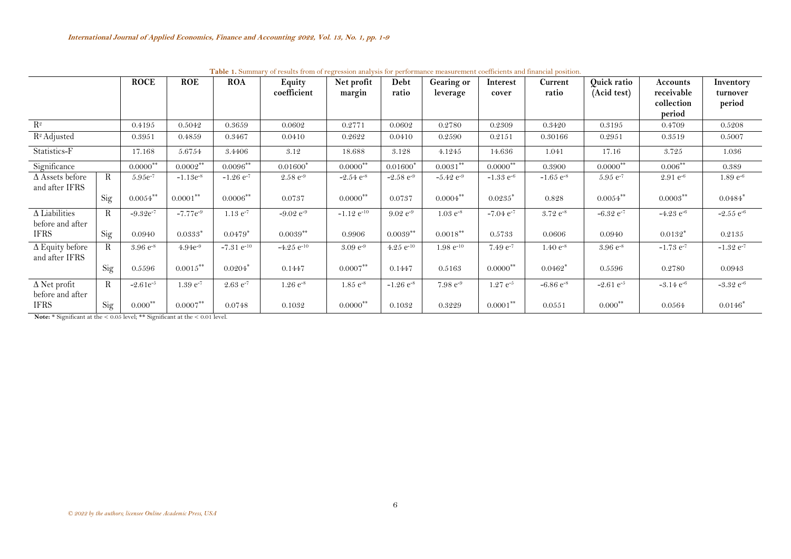|                                          |             | <b>ROCE</b>   | <b>ROE</b>    | <b>ROA</b>        | Equity            | Net profit             | Debt             | <b>Gearing or</b> | Interest                | Current          | Quick ratio             | Accounts<br>receivable  | Inventory               |
|------------------------------------------|-------------|---------------|---------------|-------------------|-------------------|------------------------|------------------|-------------------|-------------------------|------------------|-------------------------|-------------------------|-------------------------|
|                                          |             |               |               |                   | coefficient       | margin                 | ratio            | leverage          | cover                   | ratio            | (Acid test)             | collection              | turnover<br>period      |
|                                          |             |               |               |                   |                   |                        |                  |                   |                         |                  |                         | period                  |                         |
| $R^2$                                    |             | 0.4195        | 0.5042        | 0.3659            | 0.0602            | 0.2771                 | 0.0602           | 0.2780            | 0.2309                  | 0.3420           | 0.3195                  | 0.4709                  | 0.5208                  |
| R <sup>2</sup> Adjusted                  |             | 0.3951        | 0.4859        | 0.3467            | 0.0410            | 0.2622                 | 0.0410           | 0.2590            | 0.2151                  | 0.30166          | 0.2951                  | 0.3519                  | 0.5007                  |
| Statistics-F                             |             | 17.168        | 5.6754        | 3.4406            | 3.12              | 18.688                 | 3.128            | 4.1245            | 14.636                  | 1.041            | 17.16                   | 3.725                   | 1.036                   |
| Significance                             |             | $0.0000$ **   | $0.0002***$   | $0.0096***$       | $0.01600*$        | $0.0000$ **            | $0.01600*$       | $0.0031***$       | $0.0000$ <sup>**</sup>  | 0.3900           | $0.0000$ **             | $0.006***$              | 0.389                   |
| $\Delta$ Assets before<br>and after IFRS | R           | $5.95e^{-7}$  | $-1.13e^{-8}$ | $-1.26$ $e^{-7}$  | $2.58 e^{-9}$     | $-2.54$ $e^{-8}$       | $-2.58 e^{-9}$   | $-5.42$ $e^{-9}$  | $-1.33$ e <sup>-6</sup> | $-1.65$ $e^{-8}$ | $5.95 e^{-7}$           | $2.91 e^{-6}$           | $1.89 e^{-6}$           |
|                                          | Sig         | $0.0054***$   | $0.0001***$   | $0.0006***$       | 0.0737            | $0.0000$ <sup>**</sup> | 0.0737           | $0.0004***$       | $0.0235*$               | 0.828            | $0.0054***$             | $0.0003***$             | $0.0484*$               |
| $\Delta$ Liabilities<br>before and after | R           | $-9.32e^{-7}$ | $-7.77e^{-9}$ | $1.13 e^{-7}$     | $-9.02 e^{-9}$    | $-1.12$ $e^{-10}$      | $9.02 e^{-9}$    | $1.03 e^{-8}$     | $-7.04$ $e^{-7}$        | $3.72 e^{-8}$    | $-6.32$ $e^{-7}$        | $-4.23$ e <sup>-6</sup> | $-2.55$ $e^{-6}$        |
| <b>IFRS</b>                              | Sig         | 0.0940        | $0.0333*$     | $0.0479*$         | $0.0039**$        | 0.9906                 | $0.0039**$       | $0.0018***$       | 0.5733                  | 0.0606           | 0.0940                  | $0.0132*$               | 0.2135                  |
| $\Delta$ Equity before<br>and after IFRS | R           | $3.96 e^{-8}$ | $4.94e^{-9}$  | $-7.31$ $e^{-10}$ | $-4.25$ $e^{-10}$ | $3.09 e^{-9}$          | 4.25 $e^{-10}$   | $1.98 e^{-10}$    | $7.49 e^{-7}$           | $1.40 e^{-8}$    | $3.96 e^{-8}$           | $-1.73$ $e^{-7}$        | $-1.32$ $e^{-7}$        |
|                                          | Sig         | 0.5596        | $0.0015***$   | $0.0204*$         | 0.1447            | $0.0007***$            | 0.1447           | 0.5163            | $0.0000^{**}$           | $0.0462*$        | 0.5596                  | 0.2780                  | 0.0943                  |
| $\Delta$ Net profit<br>before and after  | $\mathbf R$ | $-2.61e^{-5}$ | $1.39 e^{-7}$ | $2.63 e^{-7}$     | $1.26 e^{-8}$     | $1.85 e^{-8}$          | $-1.26$ $e^{-8}$ | $7.98 e^{-9}$     | $1.27 e^{-5}$           | $-6.86 e^{-8}$   | $-2.61$ e <sup>-5</sup> | $-3.14$ $e^{-6}$        | $-3.32$ e <sup>-6</sup> |
| <b>IFRS</b>                              | Sig         | $0.000***$    | $0.0007***$   | 0.0748            | 0.1032            | $0.0000$ <sup>**</sup> | 0.1032           | 0.3229            | $0.0001***$             | 0.0551           | $0.000***$              | 0.0564                  | $0.0146*$               |

**Table 1.** Summary of results from of regression analysis for performance measurement coefficients and financial position.

<span id="page-5-0"></span>**Note:** \* Significant at the < 0.05 level; \*\* Significant at the < 0.01 level.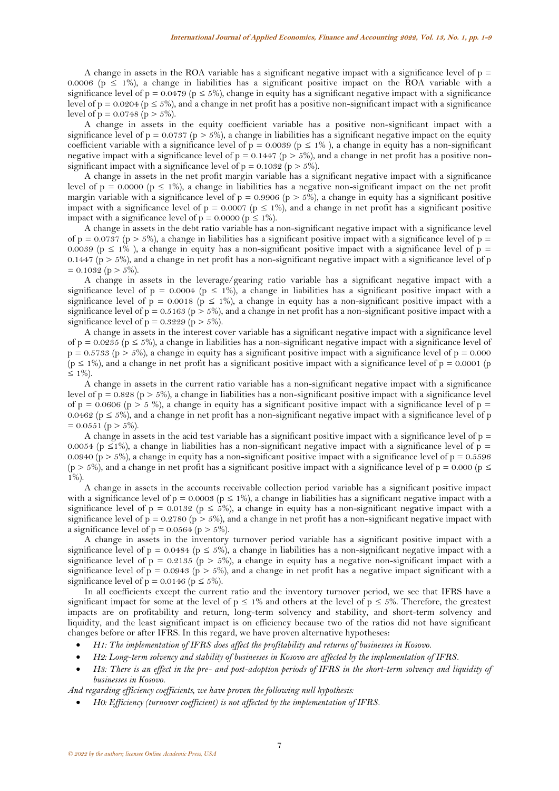A change in assets in the ROA variable has a significant negative impact with a significance level of  $p =$ 0.0006 ( $p \le 1\%$ ), a change in liabilities has a significant positive impact on the ROA variable with a significance level of  $p = 0.0479$  ( $p \le 5\%$ ), change in equity has a significant negative impact with a significance level of  $p = 0.0204$  ( $p \le 5\%$ ), and a change in net profit has a positive non-significant impact with a significance level of  $p = 0.0748$  ( $p > 5\%$ ).

A change in assets in the equity coefficient variable has a positive non-significant impact with a significance level of  $p = 0.0737$  ( $p > 5\%$ ), a change in liabilities has a significant negative impact on the equity coefficient variable with a significance level of  $p = 0.0039$  ( $p \le 1\%$ ), a change in equity has a non-significant negative impact with a significance level of  $p = 0.1447$  ( $p > 5\%$ ), and a change in net profit has a positive nonsignificant impact with a significance level of  $p = 0.1032$  ( $p > 5\%$ ).

A change in assets in the net profit margin variable has a significant negative impact with a significance level of  $p = 0.0000$  ( $p \le 1\%$ ), a change in liabilities has a negative non-significant impact on the net profit margin variable with a significance level of  $p = 0.9906$  ( $p > 5\%$ ), a change in equity has a significant positive impact with a significance level of  $p = 0.0007$  ( $p \le 1\%$ ), and a change in net profit has a significant positive impact with a significance level of  $p = 0.0000$  ( $p \le 1\%$ ).

A change in assets in the debt ratio variable has a non-significant negative impact with a significance level of  $p = 0.0737$  ( $p > 5\%$ ), a change in liabilities has a significant positive impact with a significance level of  $p =$ 0.0039 ( $p \le 1\%$ ), a change in equity has a non-significant positive impact with a significance level of  $p =$ 0.1447 ( $p > 5\%$ ), and a change in net profit has a non-significant negative impact with a significance level of p  $= 0.1032$  (p > 5%).

A change in assets in the leverage/gearing ratio variable has a significant negative impact with a significance level of  $p = 0.0004$  ( $p \le 1\%$ ), a change in liabilities has a significant positive impact with a significance level of  $p = 0.0018$  ( $p \le 1\%$ ), a change in equity has a non-significant positive impact with a significance level of  $p = 0.5163$  ( $p > 5\%$ ), and a change in net profit has a non-significant positive impact with a significance level of  $p = 0.3229$  ( $p > 5\%$ ).

A change in assets in the interest cover variable has a significant negative impact with a significance level of  $p = 0.0235$  ( $p \le 5\%$ ), a change in liabilities has a non-significant negative impact with a significance level of  $p = 0.5733$  ( $p > 5\%$ ), a change in equity has a significant positive impact with a significance level of  $p = 0.000$  $(p \le 1\%)$ , and a change in net profit has a significant positive impact with a significance level of  $p = 0.0001$  (p  $≤ 1\%$ ).

A change in assets in the current ratio variable has a non-significant negative impact with a significance level of  $p = 0.828$  ( $p > 5\%$ ), a change in liabilities has a non-significant positive impact with a significance level of  $p = 0.0606$  ( $p > 5$ %), a change in equity has a significant positive impact with a significance level of  $p =$ 0.0462 ( $p \le 5\%$ ), and a change in net profit has a non-significant negative impact with a significance level of p  $= 0.0551$  (p  $> 5\%$ ).

A change in assets in the acid test variable has a significant positive impact with a significance level of  $p =$ 0.0054 (p  $\leq$ 1%), a change in liabilities has a non-significant negative impact with a significance level of p = 0.0940 ( $p > 5\%$ ), a change in equity has a non-significant positive impact with a significance level of  $p = 0.5596$ (p > 5%), and a change in net profit has a significant positive impact with a significance level of p = 0.000 (p  $\le$ 1%).

A change in assets in the accounts receivable collection period variable has a significant positive impact with a significance level of  $p = 0.0003$  ( $p \le 1\%$ ), a change in liabilities has a significant negative impact with a significance level of p = 0.0132 (p  $\leq$  5%), a change in equity has a non-significant negative impact with a significance level of  $p = 0.2780$  ( $p > 5\%$ ), and a change in net profit has a non-significant negative impact with a significance level of  $p = 0.0564$  ( $p > 5\%$ ).

A change in assets in the inventory turnover period variable has a significant positive impact with a significance level of  $p = 0.0484$  ( $p \le 5\%$ ), a change in liabilities has a non-significant negative impact with a significance level of  $p = 0.2135$  ( $p > 5\%$ ), a change in equity has a negative non-significant impact with a significance level of  $p = 0.0943$  ( $p > 5\%$ ), and a change in net profit has a negative impact significant with a significance level of  $p = 0.0146$  ( $p \le 5\%$ ).

In all coefficients except the current ratio and the inventory turnover period, we see that IFRS have a significant impact for some at the level of  $p \le 1\%$  and others at the level of  $p \le 5\%$ . Therefore, the greatest impacts are on profitability and return, long-term solvency and stability, and short-term solvency and liquidity, and the least significant impact is on efficiency because two of the ratios did not have significant changes before or after IFRS. In this regard, we have proven alternative hypotheses:

- *H1: The implementation of IFRS does affect the profitability and returns of businesses in Kosovo.*
- *H2: Long-term solvency and stability of businesses in Kosovo are affected by the implementation of IFRS.*
- *H3: There is an effect in the pre- and post-adoption periods of IFRS in the short-term solvency and liquidity of businesses in Kosovo.*

*And regarding efficiency coefficients, we have proven the following null hypothesis:*

• *H0: Efficiency (turnover coefficient) is not affected by the implementation of IFRS.*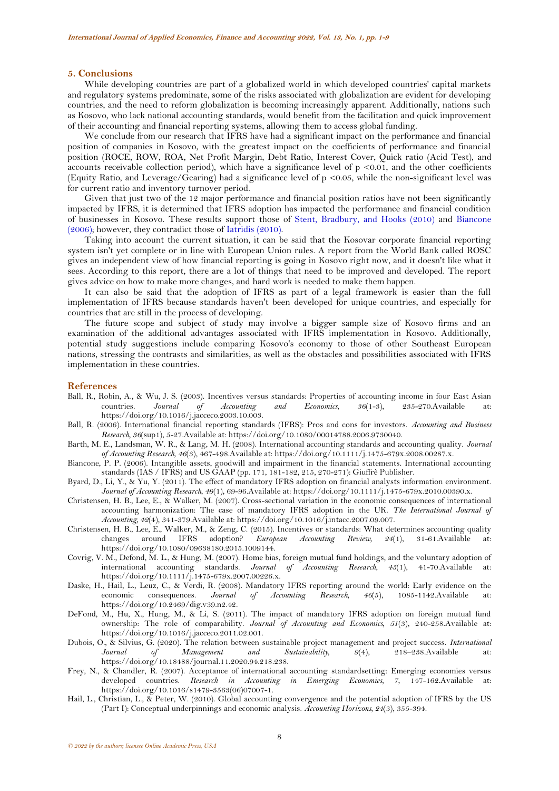### **5. Conclusions**

While developing countries are part of a globalized world in which developed countries' capital markets and regulatory systems predominate, some of the risks associated with globalization are evident for developing countries, and the need to reform globalization is becoming increasingly apparent. Additionally, nations such as Kosovo, who lack national accounting standards, would benefit from the facilitation and quick improvement of their accounting and financial reporting systems, allowing them to access global funding.

We conclude from our research that IFRS have had a significant impact on the performance and financial position of companies in Kosovo, with the greatest impact on the coefficients of performance and financial position (ROCE, ROW, ROA, Net Profit Margin, Debt Ratio, Interest Cover, Quick ratio (Acid Test), and accounts receivable collection period), which have a significance level of  $p \le 0.01$ , and the other coefficients (Equity Ratio, and Leverage/Gearing) had a significance level of p <0.05, while the non-significant level was for current ratio and inventory turnover period.

Given that just two of the 12 major performance and financial position ratios have not been significantly impacted by IFRS, it is determined that IFRS adoption has impacted the performance and financial condition of businesses in Kosovo. These results support those of [Stent, Bradbury, and Hooks \(2010\)](#page-8-8) and [Biancone](#page-7-12)  [\(2006\)](#page-7-12); however, they contradict those of [Iatridis \(2010\)](#page-8-9).

Taking into account the current situation, it can be said that the Kosovar corporate financial reporting system isn't yet complete or in line with European Union rules. A report from the World Bank called ROSC gives an independent view of how financial reporting is going in Kosovo right now, and it doesn't like what it sees. According to this report, there are a lot of things that need to be improved and developed. The report gives advice on how to make more changes, and hard work is needed to make them happen.

It can also be said that the adoption of IFRS as part of a legal framework is easier than the full implementation of IFRS because standards haven't been developed for unique countries, and especially for countries that are still in the process of developing.

The future scope and subject of study may involve a bigger sample size of Kosovo firms and an examination of the additional advantages associated with IFRS implementation in Kosovo. Additionally, potential study suggestions include comparing Kosovo's economy to those of other Southeast European nations, stressing the contrasts and similarities, as well as the obstacles and possibilities associated with IFRS implementation in these countries.

#### **References**

- <span id="page-7-4"></span>Ball, R., Robin, A., & Wu, J. S. (2003). Incentives versus standards: Properties of accounting income in four East Asian countries. *Journal of Accounting and Economics, 36*(1-3), 235-270.Available at: https://doi.org/10.1016/j.jacceco.2003.10.003.
- <span id="page-7-9"></span>Ball, R. (2006). International financial reporting standards (IFRS): Pros and cons for investors. *Accounting and Business Research, 36*(sup1), 5-27.Available at: https://doi.org/10.1080/00014788.2006.9730040.
- <span id="page-7-10"></span>Barth, M. E., Landsman, W. R., & Lang, M. H. (2008). International accounting standards and accounting quality. *Journal of Accounting Research, 46*(3), 467-498.Available at: https://doi.org/10.1111/j.1475-679x.2008.00287.x.
- <span id="page-7-12"></span>Biancone, P. P. (2006). Intangible assets, goodwill and impairment in the financial statements. International accounting standards (IAS / IFRS) and US GAAP (pp. 171, 181-182, 215, 270-271): Giuffrè Publisher.
- <span id="page-7-8"></span>Byard, D., Li, Y., & Yu, Y. (2011). The effect of mandatory IFRS adoption on financial analysts information environment. *Journal of Accounting Research, 49*(1), 69-96.Available at: https://doi.org/10.1111/j.1475-679x.2010.00390.x.
- <span id="page-7-0"></span>Christensen, H. B., Lee, E., & Walker, M. (2007). Cross-sectional variation in the economic consequences of international accounting harmonization: The case of mandatory IFRS adoption in the UK. *The International Journal of Accounting, 42*(4), 341-379.Available at: https://doi.org/10.1016/j.intacc.2007.09.007.
- <span id="page-7-5"></span>Christensen, H. B., Lee, E., Walker, M., & Zeng, C. (2015). Incentives or standards: What determines accounting quality changes around IFRS adoption? *European Accounting Review, 24*(1), 31-61.Available at: https://doi.org/10.1080/09638180.2015.1009144.
- <span id="page-7-11"></span>Covrig, V. M., Defond, M. L., & Hung, M. (2007). Home bias, foreign mutual fund holdings, and the voluntary adoption of international accounting standards. *Journal of Accounting Research, 45*(1), 41-70.Available at: https://doi.org/10.1111/j.1475-679x.2007.00226.x.
- <span id="page-7-1"></span>Daske, H., Hail, L., Leuz, C., & Verdi, R. (2008). Mandatory IFRS reporting around the world: Early evidence on the economic consequences. Journal of Accounting Research, 46(5), 1085-1142. Available at: economic consequences. *Journal of Accounting Research*, 46(5), 1085-1142.Available https://doi.org/10.2469/dig.v39.n2.42.
- <span id="page-7-2"></span>DeFond, M., Hu, X., Hung, M., & Li, S. (2011). The impact of mandatory IFRS adoption on foreign mutual fund ownership: The role of comparability. *Journal of Accounting and Economics, 51*(3), 240-258.Available at: https://doi.org/10.1016/j.jacceco.2011.02.001.
- <span id="page-7-6"></span>Dubois, O., & Silvius, G. (2020). The relation between sustainable project management and project success. *International Journal of Management and Sustainability, 9*(4), 218–238.Available at: https://doi.org/10.18488/journal.11.2020.94.218.238.
- <span id="page-7-7"></span>Frey, N., & Chandler, R. (2007). Acceptance of international accounting standardsetting: Emerging economies versus developed countries. *Research in Accounting in Emerging Economies, 7*, 147-162.Available at: https://doi.org/10.1016/s1479-3563(06)07007-1.
- <span id="page-7-3"></span>Hail, L., Christian, L., & Peter, W. (2010). Global accounting convergence and the potential adoption of IFRS by the US (Part I): Conceptual underpinnings and economic analysis. *Accounting Horizons, 24*(3), 355-394.